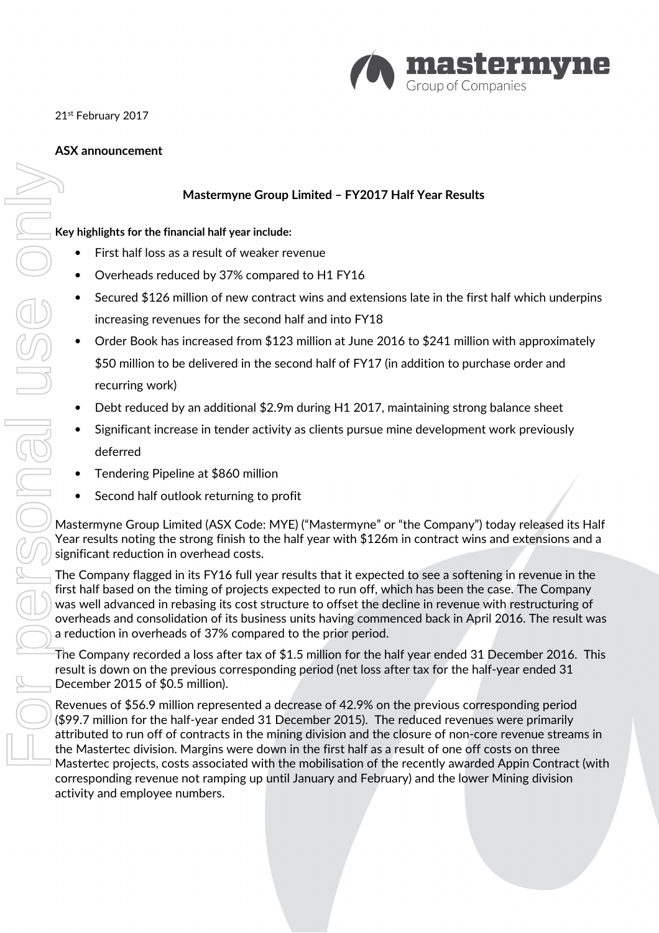

21st February 2017

### ASX announcement

# Mastermyne Group Limited – FY2017 Half Year Results

#### Key highlights for the financial half year include:

- First half loss as a result of weaker revenue
- Overheads reduced by 37% compared to H1 FY16
- Secured \$126 million of new contract wins and extensions late in the first half which underpins increasing revenues for the second half and into FY18
- Order Book has increased from \$123 million at June 2016 to \$241 million with approximately \$50 million to be delivered in the second half of FY17 (in addition to purchase order and recurring work)
- Debt reduced by an additional \$2.9m during H1 2017, maintaining strong balance sheet
- Significant increase in tender activity as clients pursue mine development work previously deferred
- Tendering Pipeline at \$860 million
- Second half outlook returning to profit

Mastermyne Group Limited (ASX Code: MYE) ("Mastermyne" or "the Company") today released its Half Year results noting the strong finish to the half year with \$126m in contract wins and extensions and a significant reduction in overhead costs.

The Company flagged in its FY16 full year results that it expected to see a softening in revenue in the first half based on the timing of projects expected to run off, which has been the case. The Company was well advanced in rebasing its cost structure to offset the decline in revenue with restructuring of overheads and consolidation of its business units having commenced back in April 2016. The result was a reduction in overheads of 37% compared to the prior period.

The Company recorded a loss after tax of \$1.5 million for the half year ended 31 December 2016. This result is down on the previous corresponding period (net loss after tax for the half-year ended 31 December 2015 of \$0.5 million).

Revenues of \$56.9 million represented a decrease of 42.9% on the previous corresponding period (\$99.7 million for the half-year ended 31 December 2015). The reduced revenues were primarily attributed to run off of contracts in the mining division and the closure of non-core revenue streams in the Mastertec division. Margins were down in the first half as a result of one off costs on three Mastertec projects, costs associated with the mobilisation of the recently awarded Appin Contract (with corresponding revenue not ramping up until January and February) and the lower Mining division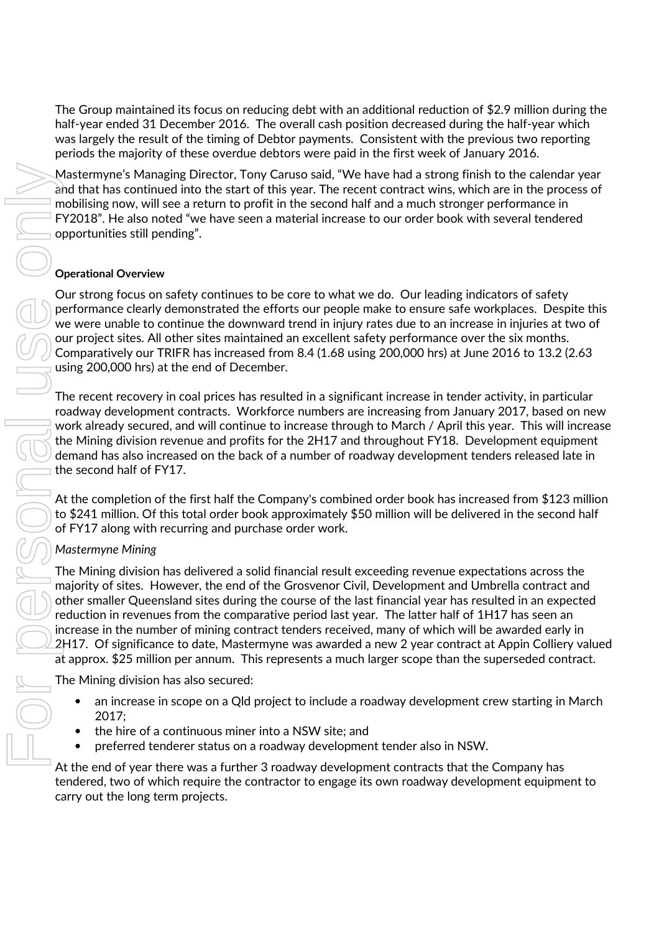The Group maintained its focus on reducing debt with an additional reduction of \$2.9 million during the half-year ended 31 December 2016. The overall cash position decreased during the half-year which was largely the result of the timing of Debtor payments. Consistent with the previous two reporting periods the majority of these overdue debtors were paid in the first week of January 2016.

Mastermyne's Managing Director, Tony Caruso said, "We have had a strong finish to the calendar year and that has continued into the start of this year. The recent contract wins, which are in the process of mobilising now, will see a return to profit in the second half and a much stronger performance in FY2018". He also noted "we have seen a material increase to our order book with several tendered opportunities still pending".

### Operational Overview

Our strong focus on safety continues to be core to what we do. Our leading indicators of safety performance clearly demonstrated the efforts our people make to ensure safe workplaces. Despite this we were unable to continue the downward trend in injury rates due to an increase in injuries at two of our project sites. All other sites maintained an excellent safety performance over the six months. Comparatively our TRIFR has increased from 8.4 (1.68 using 200,000 hrs) at June 2016 to 13.2 (2.63 using 200,000 hrs) at the end of December.

The recent recovery in coal prices has resulted in a significant increase in tender activity, in particular roadway development contracts. Workforce numbers are increasing from January 2017, based on new work already secured, and will continue to increase through to March / April this year. This will increase the Mining division revenue and profits for the 2H17 and throughout FY18. Development equipment demand has also increased on the back of a number of roadway development tenders released late in the second half of FY17.

At the completion of the first half the Company's combined order book has increased from \$123 million to \$241 million. Of this total order book approximately \$50 million will be delivered in the second half of FY17 along with recurring and purchase order work.

# Mastermyne Mining

The Mining division has delivered a solid financial result exceeding revenue expectations across the majority of sites. However, the end of the Grosvenor Civil, Development and Umbrella contract and other smaller Queensland sites during the course of the last financial year has resulted in an expected reduction in revenues from the comparative period last year. The latter half of 1H17 has seen an increase in the number of mining contract tenders received, many of which will be awarded early in 2H17. Of significance to date, Mastermyne was awarded a new 2 year contract at Appin Colliery valued at approx. \$25 million per annum. This represents a much larger scope than the superseded contract.

The Mining division has also secured:

- an increase in scope on a Qld project to include a roadway development crew starting in March 2017;
- the hire of a continuous miner into a NSW site; and
- preferred tenderer status on a roadway development tender also in NSW.

At the end of year there was a further 3 roadway development contracts that the Company has tendered, two of which require the contractor to engage its own roadway development equipment to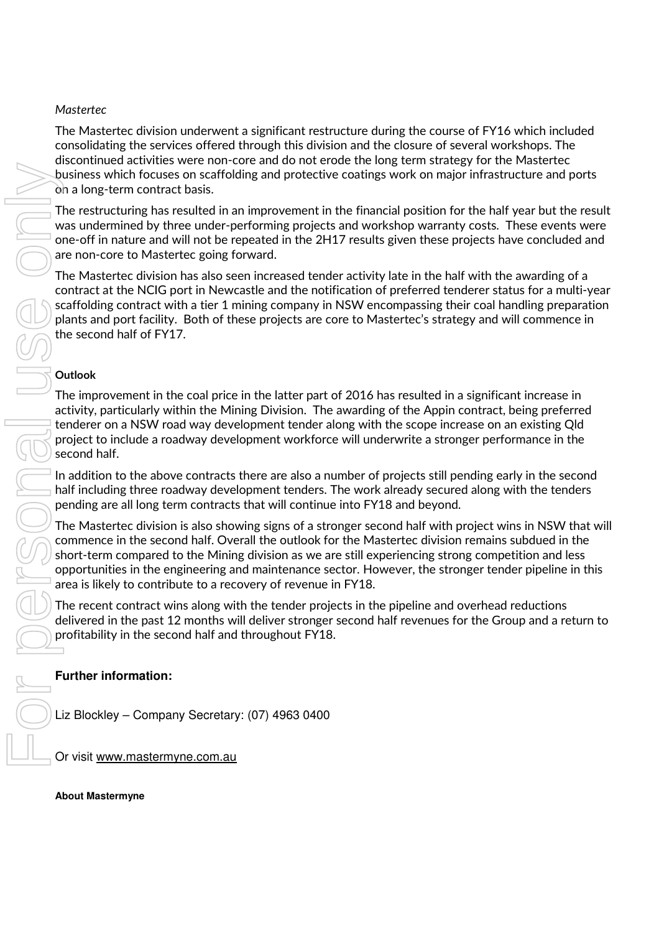### **Mastertec**

The Mastertec division underwent a significant restructure during the course of FY16 which included consolidating the services offered through this division and the closure of several workshops. The discontinued activities were non-core and do not erode the long term strategy for the Mastertec business which focuses on scaffolding and protective coatings work on major infrastructure and ports on a long-term contract basis.

The restructuring has resulted in an improvement in the financial position for the half year but the result was undermined by three under-performing projects and workshop warranty costs. These events were one-off in nature and will not be repeated in the 2H17 results given these projects have concluded and are non-core to Mastertec going forward.

The Mastertec division has also seen increased tender activity late in the half with the awarding of a contract at the NCIG port in Newcastle and the notification of preferred tenderer status for a multi-year scaffolding contract with a tier 1 mining company in NSW encompassing their coal handling preparation plants and port facility. Both of these projects are core to Mastertec's strategy and will commence in the second half of FY17.

### **Outlook**

The improvement in the coal price in the latter part of 2016 has resulted in a significant increase in activity, particularly within the Mining Division. The awarding of the Appin contract, being preferred tenderer on a NSW road way development tender along with the scope increase on an existing Qld project to include a roadway development workforce will underwrite a stronger performance in the second half.

In addition to the above contracts there are also a number of projects still pending early in the second half including three roadway development tenders. The work already secured along with the tenders pending are all long term contracts that will continue into FY18 and beyond.

The Mastertec division is also showing signs of a stronger second half with project wins in NSW that will commence in the second half. Overall the outlook for the Mastertec division remains subdued in the short-term compared to the Mining division as we are still experiencing strong competition and less opportunities in the engineering and maintenance sector. However, the stronger tender pipeline in this area is likely to contribute to a recovery of revenue in FY18.

The recent contract wins along with the tender projects in the pipeline and overhead reductions delivered in the past 12 months will deliver stronger second half revenues for the Group and a return to profitability in the second half and throughout FY18.

### **Further information:**

Liz Blockley – Company Secretary: (07) 4963 0400

Or visit www.mastermyne.com.au